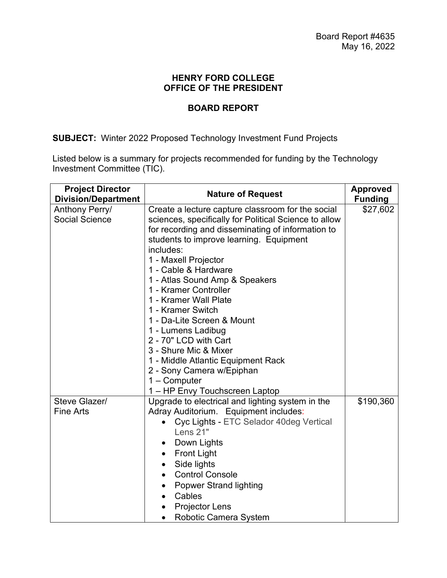## **HENRY FORD COLLEGE OFFICE OF THE PRESIDENT**

# **BOARD REPORT**

# **SUBJECT:** Winter 2022 Proposed Technology Investment Fund Projects

Listed below is a summary for projects recommended for funding by the Technology Investment Committee (TIC).

| <b>Project Director</b>                                               | <b>Nature of Request</b>                                                                                                                                                                                                                                                                                                                              | <b>Approved</b>            |  |  |
|-----------------------------------------------------------------------|-------------------------------------------------------------------------------------------------------------------------------------------------------------------------------------------------------------------------------------------------------------------------------------------------------------------------------------------------------|----------------------------|--|--|
| <b>Division/Department</b><br>Anthony Perry/<br><b>Social Science</b> | Create a lecture capture classroom for the social<br>sciences, specifically for Political Science to allow<br>for recording and disseminating of information to<br>students to improve learning. Equipment<br>includes:<br>1 - Maxell Projector<br>1 - Cable & Hardware<br>1 - Atlas Sound Amp & Speakers<br>1 - Kramer Controller                    | <b>Funding</b><br>\$27,602 |  |  |
|                                                                       | 1 - Kramer Wall Plate<br>1 - Kramer Switch<br>1 - Da-Lite Screen & Mount<br>1 - Lumens Ladibug<br>2 - 70" LCD with Cart<br>3 - Shure Mic & Mixer<br>1 - Middle Atlantic Equipment Rack<br>2 - Sony Camera w/Epiphan<br>1 - Computer<br>1 - HP Envy Touchscreen Laptop                                                                                 |                            |  |  |
| Steve Glazer/<br><b>Fine Arts</b>                                     | Upgrade to electrical and lighting system in the<br>Adray Auditorium. Equipment includes:<br>Cyc Lights - ETC Selador 40deg Vertical<br>Lens 21"<br>Down Lights<br><b>Front Light</b><br>Side lights<br>$\bullet$<br><b>Control Console</b><br>$\bullet$<br><b>Popwer Strand lighting</b><br>Cables<br><b>Projector Lens</b><br>Robotic Camera System | \$190,360                  |  |  |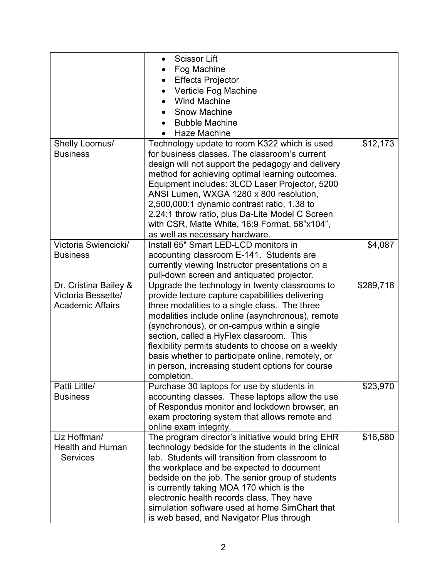|                         | <b>Scissor Lift</b><br>$\bullet$                    |           |
|-------------------------|-----------------------------------------------------|-----------|
|                         | Fog Machine                                         |           |
|                         | <b>Effects Projector</b>                            |           |
|                         | Verticle Fog Machine                                |           |
|                         | <b>Wind Machine</b>                                 |           |
|                         | <b>Snow Machine</b>                                 |           |
|                         | <b>Bubble Machine</b>                               |           |
|                         | Haze Machine                                        |           |
| Shelly Loomus/          | Technology update to room K322 which is used        | \$12,173  |
| <b>Business</b>         | for business classes. The classroom's current       |           |
|                         | design will not support the pedagogy and delivery   |           |
|                         | method for achieving optimal learning outcomes.     |           |
|                         | Equipment includes: 3LCD Laser Projector, 5200      |           |
|                         | ANSI Lumen, WXGA 1280 x 800 resolution,             |           |
|                         | 2,500,000:1 dynamic contrast ratio, 1.38 to         |           |
|                         | 2.24:1 throw ratio, plus Da-Lite Model C Screen     |           |
|                         | with CSR, Matte White, 16:9 Format, 58"x104",       |           |
|                         | as well as necessary hardware.                      |           |
| Victoria Swiencicki/    | Install 65" Smart LED-LCD monitors in               | \$4,087   |
| <b>Business</b>         | accounting classroom E-141. Students are            |           |
|                         | currently viewing Instructor presentations on a     |           |
|                         | pull-down screen and antiquated projector.          |           |
| Dr. Cristina Bailey &   | Upgrade the technology in twenty classrooms to      | \$289,718 |
| Victoria Bessette/      | provide lecture capture capabilities delivering     |           |
| <b>Academic Affairs</b> | three modalities to a single class. The three       |           |
|                         | modalities include online (asynchronous), remote    |           |
|                         | (synchronous), or on-campus within a single         |           |
|                         | section, called a HyFlex classroom. This            |           |
|                         | flexibility permits students to choose on a weekly  |           |
|                         | basis whether to participate online, remotely, or   |           |
|                         | in person, increasing student options for course    |           |
|                         | completion.                                         |           |
| Patti Little/           | Purchase 30 laptops for use by students in          | \$23,970  |
| <b>Business</b>         | accounting classes. These laptops allow the use     |           |
|                         | of Respondus monitor and lockdown browser, an       |           |
|                         | exam proctoring system that allows remote and       |           |
|                         | online exam integrity.                              |           |
| Liz Hoffman/            | The program director's initiative would bring EHR   | \$16,580  |
| <b>Health and Human</b> | technology bedside for the students in the clinical |           |
| <b>Services</b>         | lab. Students will transition from classroom to     |           |
|                         | the workplace and be expected to document           |           |
|                         | bedside on the job. The senior group of students    |           |
|                         | is currently taking MOA 170 which is the            |           |
|                         | electronic health records class. They have          |           |
|                         | simulation software used at home SimChart that      |           |
|                         | is web based, and Navigator Plus through            |           |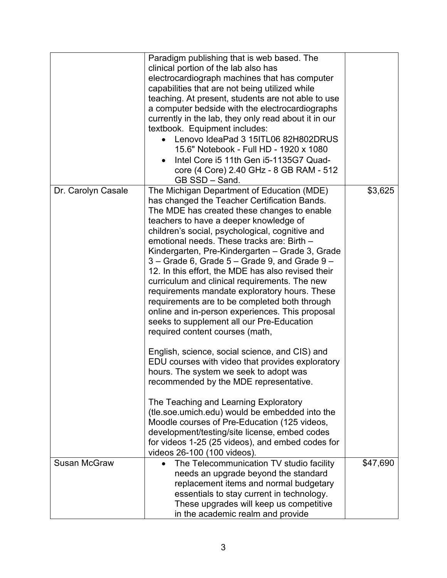|                     | Paradigm publishing that is web based. The<br>clinical portion of the lab also has<br>electrocardiograph machines that has computer<br>capabilities that are not being utilized while<br>teaching. At present, students are not able to use<br>a computer bedside with the electrocardiographs<br>currently in the lab, they only read about it in our<br>textbook. Equipment includes:<br>Lenovo IdeaPad 3 15ITL06 82H802DRUS<br>15.6" Notebook - Full HD - 1920 x 1080<br>Intel Core i5 11th Gen i5-1135G7 Quad-<br>$\bullet$<br>core (4 Core) 2.40 GHz - 8 GB RAM - 512                                                                                                                                                                                   |          |
|---------------------|--------------------------------------------------------------------------------------------------------------------------------------------------------------------------------------------------------------------------------------------------------------------------------------------------------------------------------------------------------------------------------------------------------------------------------------------------------------------------------------------------------------------------------------------------------------------------------------------------------------------------------------------------------------------------------------------------------------------------------------------------------------|----------|
| Dr. Carolyn Casale  | GB SSD - Sand.<br>The Michigan Department of Education (MDE)<br>has changed the Teacher Certification Bands.<br>The MDE has created these changes to enable<br>teachers to have a deeper knowledge of<br>children's social, psychological, cognitive and<br>emotional needs. These tracks are: Birth -<br>Kindergarten, Pre-Kindergarten – Grade 3, Grade<br>$3 -$ Grade 6, Grade $5 -$ Grade 9, and Grade $9 -$<br>12. In this effort, the MDE has also revised their<br>curriculum and clinical requirements. The new<br>requirements mandate exploratory hours. These<br>requirements are to be completed both through<br>online and in-person experiences. This proposal<br>seeks to supplement all our Pre-Education<br>required content courses (math, | \$3,625  |
|                     | English, science, social science, and CIS) and<br>EDU courses with video that provides exploratory<br>hours. The system we seek to adopt was<br>recommended by the MDE representative.<br>The Teaching and Learning Exploratory<br>(tle.soe.umich.edu) would be embedded into the<br>Moodle courses of Pre-Education (125 videos,<br>development/testing/site license, embed codes<br>for videos 1-25 (25 videos), and embed codes for<br>videos 26-100 (100 videos).                                                                                                                                                                                                                                                                                        |          |
| <b>Susan McGraw</b> | The Telecommunication TV studio facility<br>needs an upgrade beyond the standard<br>replacement items and normal budgetary<br>essentials to stay current in technology.<br>These upgrades will keep us competitive<br>in the academic realm and provide                                                                                                                                                                                                                                                                                                                                                                                                                                                                                                      | \$47,690 |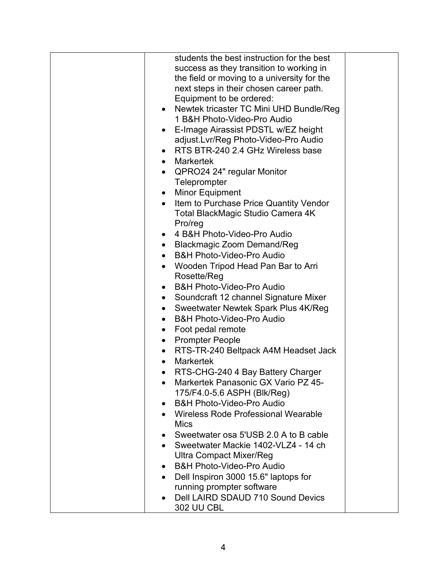|           | students the best instruction for the best  |  |
|-----------|---------------------------------------------|--|
|           | success as they transition to working in    |  |
|           | the field or moving to a university for the |  |
|           | next steps in their chosen career path.     |  |
|           | Equipment to be ordered:                    |  |
|           | • Newtek tricaster TC Mini UHD Bundle/Reg   |  |
|           | 1 B&H Photo-Video-Pro Audio                 |  |
| $\bullet$ | E-Image Airassist PDSTL w/EZ height         |  |
|           | adjust.Lvr/Reg Photo-Video-Pro Audio        |  |
|           | • RTS BTR-240 2.4 GHz Wireless base         |  |
|           | • Markertek                                 |  |
|           | • QPRO24 24" regular Monitor                |  |
|           | Teleprompter                                |  |
|           | • Minor Equipment                           |  |
| $\bullet$ | Item to Purchase Price Quantity Vendor      |  |
|           | Total BlackMagic Studio Camera 4K           |  |
|           | Pro/reg                                     |  |
| $\bullet$ | 4 B&H Photo-Video-Pro Audio                 |  |
| $\bullet$ | <b>Blackmagic Zoom Demand/Reg</b>           |  |
| $\bullet$ | <b>B&amp;H Photo-Video-Pro Audio</b>        |  |
| ٠         | Wooden Tripod Head Pan Bar to Arri          |  |
|           | Rosette/Reg                                 |  |
| ٠         | <b>B&amp;H Photo-Video-Pro Audio</b>        |  |
| $\bullet$ | Soundcraft 12 channel Signature Mixer       |  |
| $\bullet$ | Sweetwater Newtek Spark Plus 4K/Reg         |  |
| $\bullet$ | <b>B&amp;H Photo-Video-Pro Audio</b>        |  |
| $\bullet$ | Foot pedal remote                           |  |
| $\bullet$ | <b>Prompter People</b>                      |  |
| $\bullet$ | RTS-TR-240 Beltpack A4M Headset Jack        |  |
| $\bullet$ | <b>Markertek</b>                            |  |
| $\bullet$ | RTS-CHG-240 4 Bay Battery Charger           |  |
|           | Markertek Panasonic GX Vario PZ 45-         |  |
|           | 175/F4.0-5.6 ASPH (Blk/Reg)                 |  |
| ٠         | <b>B&amp;H Photo-Video-Pro Audio</b>        |  |
| $\bullet$ | Wireless Rode Professional Wearable         |  |
|           | <b>Mics</b>                                 |  |
|           | Sweetwater osa 5'USB 2.0 A to B cable       |  |
|           | Sweetwater Mackie 1402-VLZ4 - 14 ch         |  |
|           | <b>Ultra Compact Mixer/Reg</b>              |  |
| $\bullet$ | <b>B&amp;H Photo-Video-Pro Audio</b>        |  |
| $\bullet$ | Dell Inspiron 3000 15.6" laptops for        |  |
|           | running prompter software                   |  |
|           | Dell LAIRD SDAUD 710 Sound Devics           |  |
|           | <b>302 UU CBL</b>                           |  |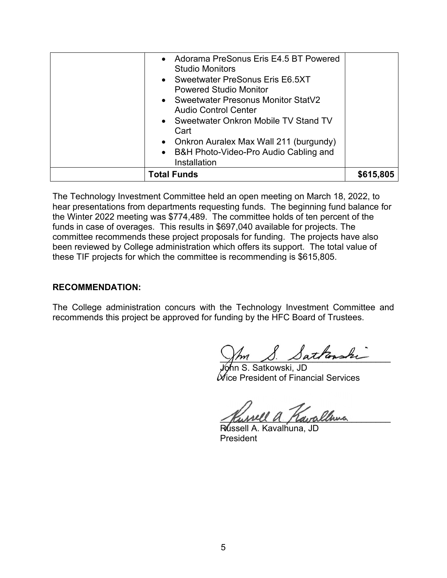| <b>Total Funds</b>                                                                                                                                                          | \$615,805 |
|-----------------------------------------------------------------------------------------------------------------------------------------------------------------------------|-----------|
| Sweetwater Onkron Mobile TV Stand TV<br>$\bullet$<br>Cart<br>Onkron Auralex Max Wall 211 (burgundy)<br>$\bullet$<br>• B&H Photo-Video-Pro Audio Cabling and<br>Installation |           |
| <b>Sweetwater Presonus Monitor StatV2</b><br>$\bullet$<br><b>Audio Control Center</b>                                                                                       |           |
| <b>Studio Monitors</b><br>Sweetwater PreSonus Eris E6.5XT<br>$\bullet$<br><b>Powered Studio Monitor</b>                                                                     |           |
| Adorama PreSonus Eris E4.5 BT Powered<br>$\bullet$                                                                                                                          |           |

The Technology Investment Committee held an open meeting on March 18, 2022, to hear presentations from departments requesting funds. The beginning fund balance for the Winter 2022 meeting was \$774,489. The committee holds of ten percent of the funds in case of overages. This results in \$697,040 available for projects. The committee recommends these project proposals for funding. The projects have also been reviewed by College administration which offers its support. The total value of these TIF projects for which the committee is recommending is \$615,805.

### **RECOMMENDATION:**

The College administration concurs with the Technology Investment Committee and recommends this project be approved for funding by the HFC Board of Trustees.

Sattonshi

Ship S. Satkowski, JD  $\mathscr W$ ice President of Financial Services

\_\_\_\_\_\_\_\_\_\_\_\_\_\_\_\_\_\_\_\_\_\_\_\_\_\_\_\_\_\_\_\_\_\_\_

Russell A. Kavalhuna, JD **President**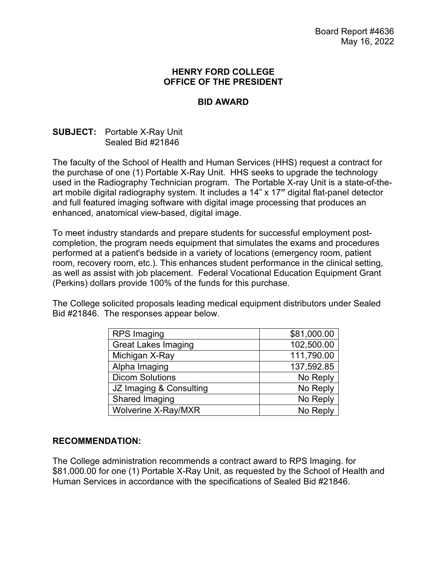### **HENRY FORD COLLEGE OFFICE OF THE PRESIDENT**

## **BID AWARD**

## **SUBJECT:** Portable X-Ray Unit Sealed Bid #21846

The faculty of the School of Health and Human Services (HHS) request a contract for the purchase of one (1) Portable X-Ray Unit. HHS seeks to upgrade the technology used in the Radiography Technician program. The Portable X-ray Unit is a state-of-theart mobile digital radiography system. It includes a 14" x 17**"** digital flat-panel detector and full featured imaging software with digital image processing that produces an enhanced, anatomical view-based, digital image.

To meet industry standards and prepare students for successful employment postcompletion, the program needs equipment that simulates the exams and procedures performed at a patient's bedside in a variety of locations (emergency room, patient room, recovery room, etc.). This enhances student performance in the clinical setting, as well as assist with job placement. Federal Vocational Education Equipment Grant (Perkins) dollars provide 100% of the funds for this purchase.

The College solicited proposals leading medical equipment distributors under Sealed Bid #21846. The responses appear below.

| <b>RPS Imaging</b>         | \$81,000.00 |
|----------------------------|-------------|
| <b>Great Lakes Imaging</b> | 102,500.00  |
| Michigan X-Ray             | 111,790.00  |
| Alpha Imaging              | 137,592.85  |
| <b>Dicom Solutions</b>     | No Reply    |
| JZ Imaging & Consulting    | No Reply    |
| Shared Imaging             | No Reply    |
| Wolverine X-Ray/MXR        | No Reply    |

#### **RECOMMENDATION:**

The College administration recommends a contract award to RPS Imaging. for \$81,000.00 for one (1) Portable X-Ray Unit, as requested by the School of Health and Human Services in accordance with the specifications of Sealed Bid #21846.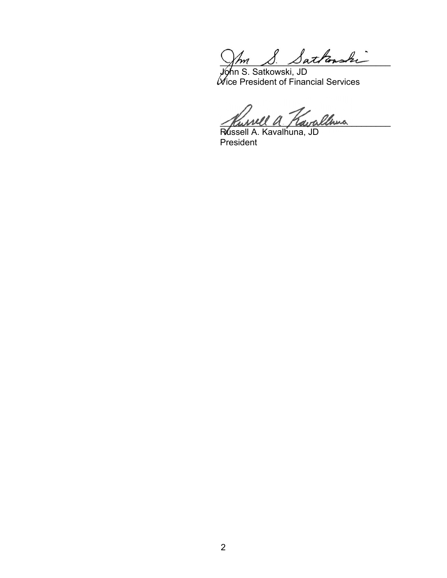$\sqrt{m}$   $\beta$ .  $\beta$ allanski

John S. Satkowski, JD Vice President of Financial Services

Invell a Kavallona

Russell A. Kavalhuna, JD President